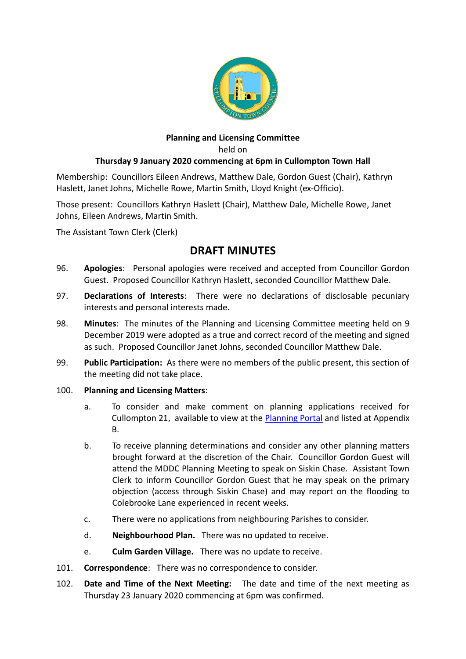

## **Planning and Licensing Committee**

held on

## **Thursday 9 January 2020 commencing at 6pm in Cullompton Town Hall**

Membership: Councillors Eileen Andrews, Matthew Dale, Gordon Guest (Chair), Kathryn Haslett, Janet Johns, Michelle Rowe, Martin Smith, Lloyd Knight (ex-Officio).

Those present: Councillors Kathryn Haslett (Chair), Matthew Dale, Michelle Rowe, Janet Johns, Eileen Andrews, Martin Smith.

The Assistant Town Clerk (Clerk)

## **DRAFT MINUTES**

- 96. **Apologies**: Personal apologies were received and accepted from Councillor Gordon Guest. Proposed Councillor Kathryn Haslett, seconded Councillor Matthew Dale.
- 97. **Declarations of Interests**: There were no declarations of disclosable pecuniary interests and personal interests made.
- 98. **Minutes**: The minutes of the Planning and Licensing Committee meeting held on 9 December 2019 were adopted as a true and correct record of the meeting and signed as such. Proposed Councillor Janet Johns, seconded Councillor Matthew Dale.
- 99. **Public Participation:** As there were no members of the public present, this section of the meeting did not take place.
- 100. **Planning and Licensing Matters**:
	- a. To consider and make comment on planning applications received for Cullompton 21, available to view at the **Planning Portal** and listed at Appendix B.
	- b. To receive planning determinations and consider any other planning matters brought forward at the discretion of the Chair. Councillor Gordon Guest will attend the MDDC Planning Meeting to speak on Siskin Chase. Assistant Town Clerk to inform Councillor Gordon Guest that he may speak on the primary objection (access through Siskin Chase) and may report on the flooding to Colebrooke Lane experienced in recent weeks.
	- c. There were no applications from neighbouring Parishes to consider.
	- d. **Neighbourhood Plan.** There was no updated to receive.
	- e. **Culm Garden Village.** There was no update to receive.
- 101. **Correspondence**: There was no correspondence to consider.
- 102. **Date and Time of the Next Meeting:** The date and time of the next meeting as Thursday 23 January 2020 commencing at 6pm was confirmed.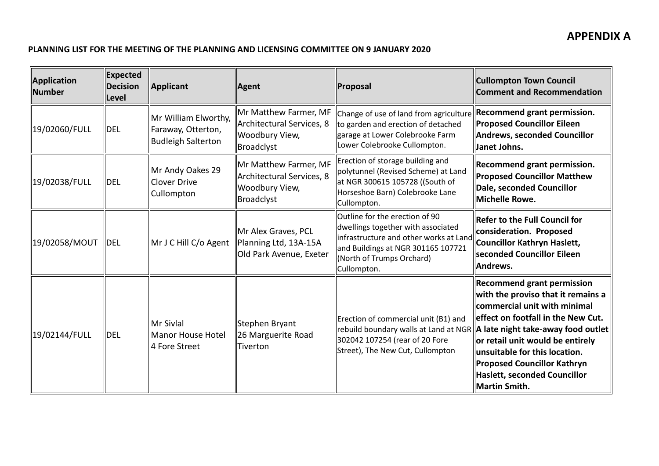## **PLANNING LIST FOR THE MEETING OF THE PLANNING AND LICENSING COMMITTEE ON 9 JANUARY 2020**

| Application<br>Number | <b>Expected</b><br><b>Decision</b><br>Level | Applicant                                                        | <b>Agent</b>                                                                       | Proposal                                                                                                                                                                                         | <b>Cullompton Town Council</b><br><b>Comment and Recommendation</b>                                                                                                                                                                                                                                                                |
|-----------------------|---------------------------------------------|------------------------------------------------------------------|------------------------------------------------------------------------------------|--------------------------------------------------------------------------------------------------------------------------------------------------------------------------------------------------|------------------------------------------------------------------------------------------------------------------------------------------------------------------------------------------------------------------------------------------------------------------------------------------------------------------------------------|
| 19/02060/FULL         | <b>DEL</b>                                  | Mr William Elworthy,<br>Faraway, Otterton,<br>Budleigh Salterton | Mr Matthew Farmer, MF<br>Architectural Services, 8<br>Woodbury View,<br>Broadclyst | Change of use of land from agriculture<br>to garden and erection of detached<br>garage at Lower Colebrooke Farm<br>Lower Colebrooke Cullompton.                                                  | Recommend grant permission.<br><b>Proposed Councillor Eileen</b><br>Andrews, seconded Councillor<br>Janet Johns.                                                                                                                                                                                                                   |
| 19/02038/FULL         | <b>DEL</b>                                  | Mr Andy Oakes 29<br>Clover Drive<br>Cullompton                   | Mr Matthew Farmer, MF<br>Architectural Services, 8<br>Woodbury View,<br>Broadclyst | Erection of storage building and<br>polytunnel (Revised Scheme) at Land<br>at NGR 300615 105728 ((South of<br>Horseshoe Barn) Colebrooke Lane<br>Cullompton.                                     | Recommend grant permission.<br>Proposed Councillor Matthew<br>Dale, seconded Councillor<br>Michelle Rowe.                                                                                                                                                                                                                          |
| 19/02058/MOUT         | <b>DEL</b>                                  | Mr J C Hill C/o Agent                                            | Mr Alex Graves, PCL<br>Planning Ltd, 13A-15A<br>Old Park Avenue, Exeter            | Outline for the erection of 90<br>dwellings together with associated<br>infrastructure and other works at Land<br>and Buildings at NGR 301165 107721<br>(North of Trumps Orchard)<br>Cullompton. | $\parallel$ Refer to the Full Council for<br>consideration. Proposed<br>Councillor Kathryn Haslett,<br><b>Seconded Councillor Eileen</b><br>Andrews.                                                                                                                                                                               |
| 19/02144/FULL         | DEL                                         | Mr Sivlal<br>Manor House Hotel<br>4 Fore Street                  | Stephen Bryant<br>26 Marguerite Road<br>Tiverton                                   | Erection of commercial unit (B1) and<br>rebuild boundary walls at Land at NGR   A late night take-away food outlet<br>302042 107254 (rear of 20 Fore<br>Street), The New Cut, Cullompton         | Recommend grant permission<br>with the proviso that it remains a<br>$\,$ commercial unit with minimal<br>$\parallel$ effect on footfall in the New Cut.<br>$\left\ $ or retail unit would be entirely<br>$\parallel$ unsuitable for this location.<br>Proposed Councillor Kathryn<br>Haslett, seconded Councillor<br>Martin Smith. |